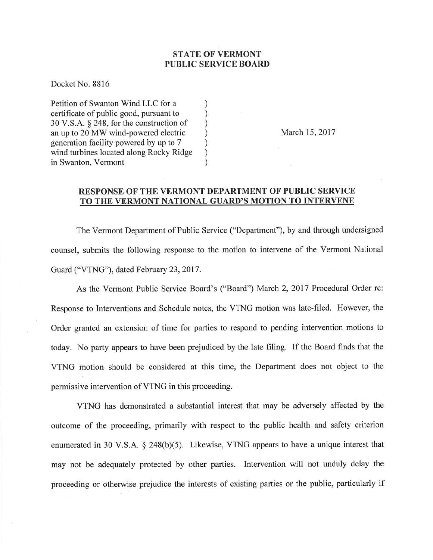## STATE OF VERMONT PUBLIC SERVICE BOARD

Docket No. 8816

Petition of Swanton Wind LLC for a () exertificate of public good, pursuant to () certificate of public good, pursuant to <br>30 V.S.A. § 248, for the construction of ) 30 V.S.A.  $\S$  248, for the construction of<br>an up to 20 MW wind-powered electric  $\qquad$ an up to 20 MW wind-powered electric <br>generation facility powered by up to 7 (b) generation facility powered by up to 7 (b) wind turbines located along Rocky Ridge wind turbines located along Rocky Ridge ) in Swanton, Vermont

March 15,2017

## RESPONSE OF THE VERMONT DEPARTMENT OF PUBLIC SERVICE TO THE VERMONT NATIONAL GUARD'S MOTION TO INTERVENE

The Vermont Department of Public Service ("Department"), by and through undersigned counsel, submits the following response to the motion to intervene of the Vermont National Guard ("VTNG"), dated February 23, 2017.

As the Vermont Public Service Board's ("Board") March 2,2017 Procedural Order re: Response to Interventions and Schedule notes, the VTNG motion was late-filed. However, the Order granted an extension of time for parties to respond to pending intervention motions to today. No party appears to have been prejudiced by the late filing. If the Board finds that the VTNG motion should be considered at this time, the Department does not object to the permissive intervention of VTNG in this proceeding.

VTNG has demonstrated a substantial interest that may be adversely affected by the outcome of the proceeding, primarily with respect to the public health and safety criterion enumerated in 30 V.S.A.  $\S$  248(b)(5). Likewise, VTNG appears to have a unique interest that may not be adequately protected by other parties. Intervention will not unduly delay the proceeding or otherwise prejudice the interests of existing parties or the public, particularly if